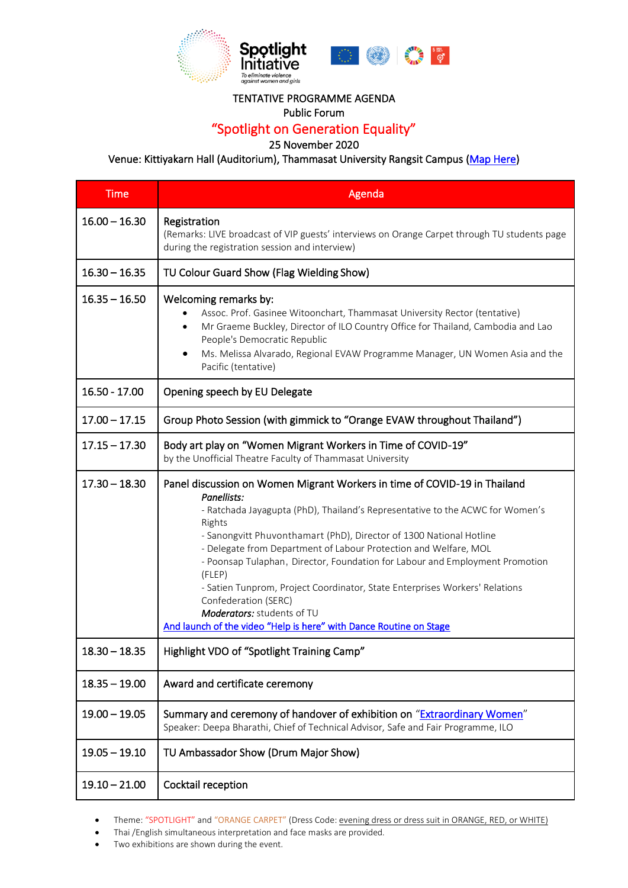

## TENTATIVE PROGRAMME AGENDA

Public Forum

## "Spotlight on Generation Equality"

## 25 November 2020

Venue: Kittiyakarn Hall (Auditorium), Thammasat University Rangsit Campus [\(Map Here\)](https://goo.gl/maps/ikQBBK41F1DQ9BNJ7)

| <b>Time</b>     | Agenda                                                                                                                                                                                                                                                                                                                                                                                                                                                                                                                                                                                                                              |
|-----------------|-------------------------------------------------------------------------------------------------------------------------------------------------------------------------------------------------------------------------------------------------------------------------------------------------------------------------------------------------------------------------------------------------------------------------------------------------------------------------------------------------------------------------------------------------------------------------------------------------------------------------------------|
| $16.00 - 16.30$ | Registration<br>(Remarks: LIVE broadcast of VIP guests' interviews on Orange Carpet through TU students page<br>during the registration session and interview)                                                                                                                                                                                                                                                                                                                                                                                                                                                                      |
| $16.30 - 16.35$ | TU Colour Guard Show (Flag Wielding Show)                                                                                                                                                                                                                                                                                                                                                                                                                                                                                                                                                                                           |
| $16.35 - 16.50$ | Welcoming remarks by:<br>Assoc. Prof. Gasinee Witoonchart, Thammasat University Rector (tentative)<br>Mr Graeme Buckley, Director of ILO Country Office for Thailand, Cambodia and Lao<br>People's Democratic Republic<br>Ms. Melissa Alvarado, Regional EVAW Programme Manager, UN Women Asia and the<br>Pacific (tentative)                                                                                                                                                                                                                                                                                                       |
| 16.50 - 17.00   | Opening speech by EU Delegate                                                                                                                                                                                                                                                                                                                                                                                                                                                                                                                                                                                                       |
| $17.00 - 17.15$ | Group Photo Session (with gimmick to "Orange EVAW throughout Thailand")                                                                                                                                                                                                                                                                                                                                                                                                                                                                                                                                                             |
| $17.15 - 17.30$ | Body art play on "Women Migrant Workers in Time of COVID-19"<br>by the Unofficial Theatre Faculty of Thammasat University                                                                                                                                                                                                                                                                                                                                                                                                                                                                                                           |
| $17.30 - 18.30$ | Panel discussion on Women Migrant Workers in time of COVID-19 in Thailand<br>Panellists:<br>- Ratchada Jayagupta (PhD), Thailand's Representative to the ACWC for Women's<br>Rights<br>- Sanongvitt Phuvonthamart (PhD), Director of 1300 National Hotline<br>- Delegate from Department of Labour Protection and Welfare, MOL<br>- Poonsap Tulaphan, Director, Foundation for Labour and Employment Promotion<br>(FLEP)<br>- Satien Tunprom, Project Coordinator, State Enterprises Workers' Relations<br>Confederation (SERC)<br>Moderators: students of TU<br>And launch of the video "Help is here" with Dance Routine on Stage |
| $18.30 - 18.35$ | Highlight VDO of "Spotlight Training Camp"                                                                                                                                                                                                                                                                                                                                                                                                                                                                                                                                                                                          |
| $18.35 - 19.00$ | Award and certificate ceremony                                                                                                                                                                                                                                                                                                                                                                                                                                                                                                                                                                                                      |
| $19.00 - 19.05$ | Summary and ceremony of handover of exhibition on "Extraordinary Women"<br>Speaker: Deepa Bharathi, Chief of Technical Advisor, Safe and Fair Programme, ILO                                                                                                                                                                                                                                                                                                                                                                                                                                                                        |
| $19.05 - 19.10$ | TU Ambassador Show (Drum Major Show)                                                                                                                                                                                                                                                                                                                                                                                                                                                                                                                                                                                                |
| $19.10 - 21.00$ | Cocktail reception                                                                                                                                                                                                                                                                                                                                                                                                                                                                                                                                                                                                                  |

Theme: "SPOTLIGHT" and "ORANGE CARPET" (Dress Code: evening dress or dress suit in ORANGE, RED, or WHITE)

• Thai /English simultaneous interpretation and face masks are provided.

Two exhibitions are shown during the event.